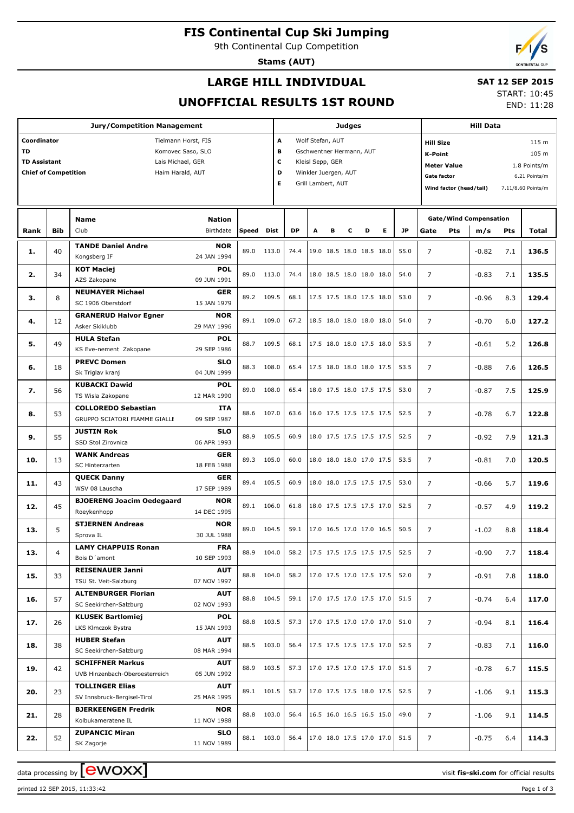# **FIS Continental Cup Ski Jumping**

9th Continental Cup Competition

**Stams (AUT)**

## **LARGE HILL INDIVIDUAL**

### **SAT 12 SEP 2015** START: 10:45

END: 11:28

## **UNOFFICIAL RESULTS 1ST ROUND**

|                                                      |            | <b>Judges</b>                                  |                                   |            |       |                                 |   |                          | <b>Hill Data</b>         |                                                                                 |                           |                |                |                                     |                                    |            |                    |  |  |
|------------------------------------------------------|------------|------------------------------------------------|-----------------------------------|------------|-------|---------------------------------|---|--------------------------|--------------------------|---------------------------------------------------------------------------------|---------------------------|----------------|----------------|-------------------------------------|------------------------------------|------------|--------------------|--|--|
| Coordinator                                          |            |                                                | A<br>Wolf Stefan, AUT             |            |       |                                 |   |                          |                          |                                                                                 | <b>Hill Size</b><br>115 m |                |                |                                     |                                    |            |                    |  |  |
| <b>TD</b>                                            |            |                                                | в<br>Gschwentner Hermann, AUT     |            |       |                                 |   |                          |                          | <b>K-Point</b><br>105 m                                                         |                           |                |                |                                     |                                    |            |                    |  |  |
| <b>TD Assistant</b><br>Lais Michael, GER             |            |                                                |                                   |            |       |                                 |   | c<br>Kleisl Sepp, GER    |                          |                                                                                 |                           |                |                |                                     | <b>Meter Value</b><br>1.8 Points/m |            |                    |  |  |
| <b>Chief of Competition</b><br>D<br>Haim Harald, AUT |            |                                                |                                   |            |       |                                 |   | Winkler Juergen, AUT     |                          |                                                                                 |                           |                |                | <b>Gate factor</b><br>6.21 Points/m |                                    |            |                    |  |  |
|                                                      |            |                                                |                                   |            | Е     |                                 |   | Grill Lambert, AUT       |                          |                                                                                 |                           |                |                | Wind factor (head/tail)             |                                    |            |                    |  |  |
|                                                      |            |                                                |                                   |            |       |                                 |   |                          |                          |                                                                                 |                           |                |                |                                     |                                    |            | 7.11/8.60 Points/m |  |  |
|                                                      |            |                                                |                                   |            |       |                                 |   |                          |                          |                                                                                 |                           |                |                |                                     |                                    |            |                    |  |  |
|                                                      |            | <b>Name</b>                                    | <b>Nation</b>                     |            |       |                                 |   |                          |                          |                                                                                 |                           |                |                |                                     | <b>Gate/Wind Compensation</b>      |            |                    |  |  |
| Rank                                                 | <b>Bib</b> | Club                                           | Birthdate                         | Speed      | Dist  | <b>DP</b>                       | A | в                        | с                        | D                                                                               | Е                         | <b>JP</b>      | Gate           | Pts                                 | m/s                                | <b>Pts</b> | Total              |  |  |
|                                                      |            | <b>TANDE Daniel Andre</b>                      |                                   |            |       |                                 |   |                          |                          |                                                                                 |                           |                |                |                                     |                                    |            |                    |  |  |
| 1.                                                   | 40         | Kongsberg IF                                   | <b>NOR</b><br>24 JAN 1994         | 89.0       | 113.0 | 74.4                            |   |                          |                          | 19.0 18.5 18.0 18.5 18.0                                                        |                           | 55.0           | $\overline{7}$ |                                     | $-0.82$                            | 7.1        | 136.5              |  |  |
|                                                      |            | <b>KOT Maciej</b>                              | <b>POL</b>                        |            |       |                                 |   |                          |                          |                                                                                 |                           |                |                |                                     |                                    |            |                    |  |  |
| 2.                                                   | 34         | AZS Zakopane                                   | 09 JUN 1991                       | 89.0       | 113.0 | 74.4                            |   |                          |                          | 18.0 18.5 18.0 18.0 18.0                                                        |                           | 54.0           | $\overline{7}$ |                                     | $-0.83$                            | 7.1        | 135.5              |  |  |
|                                                      |            |                                                |                                   |            |       |                                 |   |                          |                          |                                                                                 |                           |                |                |                                     |                                    |            |                    |  |  |
| з.                                                   | 8          | <b>NEUMAYER Michael</b><br>SC 1906 Oberstdorf  | <b>GER</b><br>15 JAN 1979         | 89.2       | 109.5 | 68.1                            |   |                          |                          | 17.5 17.5 18.0 17.5 18.0                                                        |                           | 53.0           | $\overline{7}$ |                                     | $-0.96$                            | 8.3        | 129.4              |  |  |
|                                                      |            |                                                | <b>NOR</b>                        |            |       |                                 |   |                          |                          |                                                                                 |                           |                |                |                                     |                                    |            |                    |  |  |
| 4.                                                   | 12         | <b>GRANERUD Halvor Egner</b><br>Asker Skiklubb | 29 MAY 1996                       | 89.1       | 109.0 | 67.2                            |   | 18.5 18.0 18.0 18.0 18.0 |                          |                                                                                 |                           | 54.0           | $\overline{7}$ |                                     | $-0.70$                            | 6.0        | 127.2              |  |  |
|                                                      |            | <b>HULA Stefan</b>                             | <b>POL</b>                        |            |       |                                 |   |                          |                          |                                                                                 |                           |                |                |                                     |                                    |            |                    |  |  |
| 5.                                                   | 49         | KS Eve-nement Zakopane                         | 29 SEP 1986                       | 88.7       | 109.5 | 68.1                            |   |                          |                          |                                                                                 | 17.5 18.0 18.0 17.5 18.0  | 53.5           | $\overline{7}$ |                                     | $-0.61$                            | 5.2        | 126.8              |  |  |
|                                                      |            | <b>PREVC Domen</b>                             | <b>SLO</b>                        |            |       |                                 |   |                          |                          |                                                                                 |                           |                |                |                                     |                                    |            |                    |  |  |
| 6.                                                   | 18         | Sk Triglav kranj                               | 04 JUN 1999                       | 88.3       | 108.0 | 65.4                            |   |                          |                          | 17.5 18.0 18.0 18.0 17.5                                                        |                           | 53.5           | $\overline{7}$ |                                     | $-0.88$                            | 7.6        | 126.5              |  |  |
| 7.                                                   | 56         | <b>KUBACKI Dawid</b>                           | <b>POL</b>                        |            | 108.0 |                                 |   |                          |                          |                                                                                 |                           |                |                |                                     |                                    |            |                    |  |  |
|                                                      |            | TS Wisla Zakopane                              | 12 MAR 1990                       | 89.0       |       | 65.4                            |   |                          |                          | 18.0 17.5 18.0 17.5 17.5                                                        |                           | 53.0           | $\overline{7}$ |                                     | $-0.87$                            | 7.5        | 125.9              |  |  |
|                                                      |            | <b>COLLOREDO Sebastian</b>                     | <b>ITA</b>                        |            |       |                                 |   |                          |                          |                                                                                 |                           |                |                |                                     |                                    |            |                    |  |  |
| 8.                                                   | 53         | GRUPPO SCIATORI FIAMME GIALLE                  | 09 SEP 1987                       | 88.6       | 107.0 | 63.6                            |   |                          |                          | 16.0 17.5 17.5 17.5 17.5                                                        |                           | 52.5           | $\overline{7}$ |                                     | $-0.78$                            | 6.7        | 122.8              |  |  |
|                                                      |            |                                                |                                   |            |       |                                 |   |                          |                          |                                                                                 |                           |                |                |                                     |                                    |            |                    |  |  |
| 9.                                                   | 55         | <b>JUSTIN Rok</b><br>SSD Stol Zirovnica        | <b>SLO</b><br>06 APR 1993         | 88.9       | 105.5 | 60.9                            |   |                          |                          | 18.0 17.5 17.5 17.5 17.5                                                        |                           | 52.5           | $\overline{7}$ |                                     | $-0.92$                            | 7.9        | 121.3              |  |  |
|                                                      |            | <b>WANK Andreas</b>                            |                                   |            |       |                                 |   |                          |                          |                                                                                 |                           |                |                |                                     |                                    |            |                    |  |  |
| 10.                                                  | 13<br>43   | SC Hinterzarten                                | <b>GER</b><br>89.3<br>18 FEB 1988 |            | 105.0 | 60.0                            |   |                          |                          | 18.0 18.0 18.0 17.0 17.5                                                        |                           | 53.5           | $\overline{7}$ |                                     | $-0.81$                            | 7.0        | 120.5              |  |  |
|                                                      |            | <b>OUECK Danny</b>                             | <b>GER</b>                        |            |       |                                 |   |                          |                          |                                                                                 |                           |                |                |                                     |                                    |            |                    |  |  |
| 11.                                                  |            | WSV 08 Lauscha                                 | 17 SEP 1989                       | 89.4       | 105.5 | 60.9                            |   | 18.0 18.0 17.5 17.5 17.5 |                          |                                                                                 |                           | 53.0           | $\overline{7}$ |                                     | $-0.66$                            | 5.7        | 119.6              |  |  |
|                                                      |            | <b>BJOERENG Joacim Oedegaard</b>               | <b>NOR</b>                        |            |       |                                 |   |                          |                          |                                                                                 |                           |                |                |                                     |                                    |            |                    |  |  |
| 12.                                                  | 45         | Roeykenhopp                                    | 14 DEC 1995                       | 89.1       | 106.0 | 61.8                            |   |                          |                          | 18.0 17.5 17.5 17.5 17.0                                                        |                           | 52.5           | $\overline{7}$ |                                     | $-0.57$                            | 4.9        | 119.2              |  |  |
|                                                      |            | <b>STJERNEN Andreas</b>                        | <b>NOR</b>                        |            |       |                                 |   |                          |                          |                                                                                 |                           |                |                |                                     |                                    |            |                    |  |  |
| 13.                                                  | 5          | Sprova IL                                      | 30 JUL 1988                       | 89.0       | 104.5 | 59.1                            |   | 17.0 16.5 17.0 17.0 16.5 |                          |                                                                                 |                           | 50.5           | $\overline{7}$ |                                     | $-1.02$                            | 8.8        | 118.4              |  |  |
|                                                      |            | <b>LAMY CHAPPUIS Ronan</b>                     | <b>FRA</b>                        |            |       |                                 |   |                          |                          |                                                                                 |                           |                |                |                                     |                                    |            |                    |  |  |
| 13.                                                  | 4          | Bois D'amont                                   | 10 SEP 1993                       | 88.9 104.0 |       | 58.2                            |   |                          |                          | $\left  \begin{array}{cc} 17.5 & 17.5 & 17.5 & 17.5 & 17.5 \end{array} \right $ |                           | 52.5           | $\overline{7}$ |                                     | $-0.90$                            | 7.7        | 118.4              |  |  |
|                                                      |            | <b>REISENAUER Janni</b>                        | <b>AUT</b>                        |            |       |                                 |   |                          |                          |                                                                                 |                           |                |                |                                     |                                    |            |                    |  |  |
| 15.                                                  | 33         | TSU St. Veit-Salzburg                          | 07 NOV 1997                       | 88.8 104.0 |       |                                 |   |                          |                          | 58.2   17.0 17.5 17.0 17.5 17.5                                                 |                           | 52.0           | $\overline{7}$ |                                     | $-0.91$                            | 7.8        | 118.0              |  |  |
|                                                      |            | <b>ALTENBURGER Florian</b>                     | <b>AUT</b>                        |            |       |                                 |   |                          |                          |                                                                                 |                           |                |                |                                     |                                    |            |                    |  |  |
| 16.                                                  | 57         | SC Seekirchen-Salzburg                         | 02 NOV 1993                       | 88.8 104.5 |       | 59.1   17.0 17.5 17.0 17.5 17.0 |   |                          |                          |                                                                                 |                           | 51.5           | $\overline{7}$ |                                     | $-0.74$                            | 6.4        | 117.0              |  |  |
|                                                      |            | <b>KLUSEK Bartlomiej</b>                       | <b>POL</b>                        |            |       |                                 |   |                          |                          |                                                                                 |                           |                |                |                                     |                                    |            |                    |  |  |
| 17.                                                  | 26         | LKS Klmczok Bystra                             | 15 JAN 1993                       | 88.8 103.5 |       | 57.3                            |   |                          |                          | 17.0 17.5 17.0 17.0 17.0                                                        |                           | 51.0           | $\overline{7}$ |                                     | $-0.94$                            | 8.1        | 116.4              |  |  |
|                                                      |            | <b>HUBER Stefan</b>                            | AUT                               |            |       |                                 |   |                          |                          |                                                                                 |                           |                |                |                                     |                                    |            |                    |  |  |
| 18.                                                  | 38         | SC Seekirchen-Salzburg                         | 08 MAR 1994                       | 88.5 103.0 |       | 56.4                            |   |                          |                          |                                                                                 | 17.5 17.5 17.5 17.5 17.0  | 52.5           | $\overline{7}$ |                                     | $-0.83$                            | 7.1        | 116.0              |  |  |
|                                                      |            | <b>SCHIFFNER Markus</b>                        | <b>AUT</b>                        |            |       |                                 |   |                          |                          |                                                                                 |                           |                |                |                                     |                                    |            |                    |  |  |
| 19.                                                  | 42         | UVB Hinzenbach-Oberoesterreich                 | 05 JUN 1992                       | 88.9 103.5 |       | 57.3                            |   |                          |                          | 17.0 17.5 17.0 17.5 17.0                                                        |                           | 51.5           | $\overline{7}$ |                                     | $-0.78$                            | 6.7        | 115.5              |  |  |
|                                                      |            | <b>TOLLINGER Elias</b>                         | AUT                               |            |       |                                 |   |                          |                          |                                                                                 |                           |                |                |                                     |                                    |            |                    |  |  |
| 20.                                                  | 23         | SV Innsbruck-Bergisel-Tirol                    | 25 MAR 1995                       | 89.1 101.5 |       | 53.7                            |   |                          |                          | 17.0 17.5 17.5 18.0 17.5                                                        |                           | 52.5           | $\overline{7}$ |                                     | $-1.06$                            | 9.1        | 115.3              |  |  |
|                                                      |            | <b>BJERKEENGEN Fredrik</b>                     | <b>NOR</b>                        |            |       |                                 |   |                          |                          |                                                                                 |                           |                |                |                                     |                                    |            |                    |  |  |
| 21.                                                  | 28         | Kolbukameratene IL                             | 11 NOV 1988                       | 88.8 103.0 |       | 56.4                            |   |                          | 16.5 16.0 16.5 16.5 15.0 |                                                                                 | 49.0                      | $\overline{7}$ |                | $-1.06$                             | 9.1                                | 114.5      |                    |  |  |
|                                                      |            | <b>ZUPANCIC Miran</b>                          | <b>SLO</b>                        |            |       |                                 |   |                          |                          |                                                                                 |                           |                |                |                                     |                                    |            |                    |  |  |
| 22.                                                  | 52         | SK Zagorje                                     | 11 NOV 1989                       | 88.1 103.0 |       | 56.4                            |   |                          |                          | 17.0 18.0 17.5 17.0 17.0                                                        |                           | 51.5           | $\overline{7}$ |                                     | $-0.75$                            | 6.4        | 114.3              |  |  |

printed 12 SEP 2015, 11:33:42 Page 1 of 3

data processing by  $\boxed{\text{ewOX}}$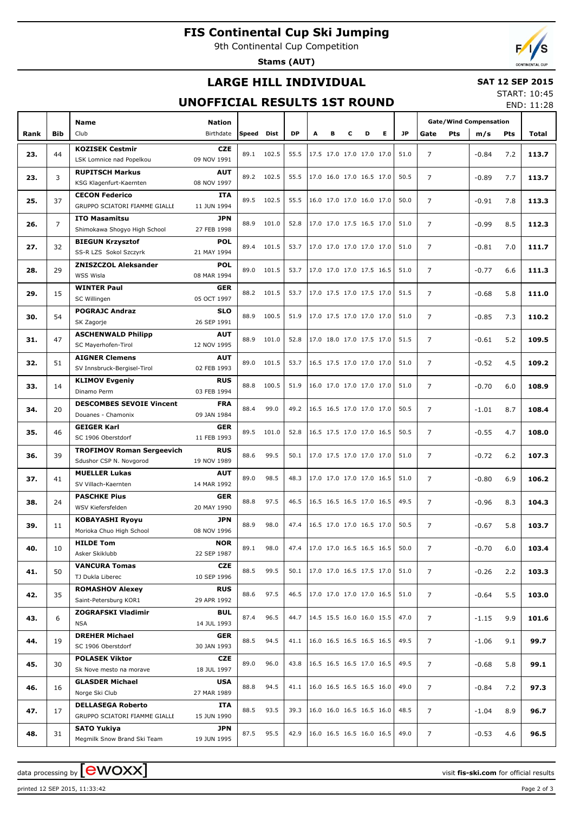# **FIS Continental Cup Ski Jumping**

9th Continental Cup Competition

**Stams (AUT)**

## **LARGE HILL INDIVIDUAL**

### **SAT 12 SEP 2015** START: 10:45

## **UNOFFICIAL RESULTS 1ST ROUND**

END: 11:28

| DP<br>E.<br><b>JP</b><br><b>Bib</b><br>Club<br>Birthdate<br>Dist<br>A<br>Speed<br>в<br>c<br>D<br>Gate<br>Pts<br>m/s<br>Total<br>Rank<br>Pts<br><b>KOZISEK Cestmir</b><br><b>CZE</b><br>44<br>102.5<br>$\overline{7}$<br>23.<br>89.1<br>55.5<br>17.5 17.0 17.0 17.0 17.0<br>51.0<br>$-0.84$<br>7.2<br>113.7<br>09 NOV 1991<br>LSK Lomnice nad Popelkou<br><b>RUPITSCH Markus</b><br><b>AUT</b><br>102.5<br>$\overline{7}$<br>23.<br>3<br>89.2<br>55.5<br>17.0 16.0 17.0 16.5 17.0<br>50.5<br>$-0.89$<br>7.7<br>113.7<br>KSG Klagenfurt-Kaernten<br>08 NOV 1997<br><b>CECON Federico</b><br><b>ITA</b><br>37<br>89.5<br>102.5<br>$\overline{7}$<br>25.<br>55.5<br>16.0 17.0 17.0 16.0 17.0<br>50.0<br>$-0.91$<br>7.8<br>113.3<br>GRUPPO SCIATORI FIAMME GIALLE<br>11 JUN 1994<br><b>ITO Masamitsu</b><br><b>JPN</b><br>$\overline{7}$<br>$\overline{7}$<br>26.<br>88.9<br>101.0<br>52.8<br>17.0 17.0 17.5 16.5 17.0<br>112.3<br>51.0<br>$-0.99$<br>8.5<br>Shimokawa Shoqyo High School<br>27 FEB 1998<br><b>BIEGUN Krzysztof</b><br><b>POL</b><br>32<br>89.4<br>101.5<br>53.7<br>17.0 17.0 17.0 17.0 17.0<br>$\overline{7}$<br>27.<br>51.0<br>$-0.81$<br>7.0<br>111.7<br>SS-R LZS Sokol Szczyrk<br>21 MAY 1994<br><b>ZNISZCZOL Aleksander</b><br><b>POL</b><br>29<br>101.5<br>$\overline{7}$<br>28.<br>89.0<br>53.7<br>17.0 17.0 17.0 17.5 16.5<br>51.0<br>$-0.77$<br>6.6<br>111.3<br>WSS Wisla<br>08 MAR 1994<br><b>WINTER Paul</b><br><b>GER</b><br>101.5<br>$\overline{7}$<br>29.<br>15<br>88.2<br>53.7<br>17.0 17.5 17.0 17.5 17.0<br>5.8<br>51.5<br>$-0.68$<br>111.0<br>05 OCT 1997<br>SC Willingen<br><b>POGRAJC Andraz</b><br><b>SLO</b><br>54<br>88.9<br>100.5<br>$\overline{7}$<br>30.<br>51.9<br>17.0 17.5 17.0 17.0 17.0<br>51.0<br>$-0.85$<br>7.3<br>110.2<br>26 SEP 1991<br>SK Zagorje<br><b>ASCHENWALD Philipp</b><br><b>AUT</b><br>47<br>88.9<br>$\overline{7}$<br>31.<br>101.0<br>52.8<br>17.0 18.0 17.0 17.5 17.0<br>5.2<br>109.5<br>51.5<br>$-0.61$<br>12 NOV 1995<br>SC Mayerhofen-Tirol<br><b>AIGNER Clemens</b><br><b>AUT</b><br>101.5<br>$\overline{7}$<br>32.<br>51<br>89.0<br>53.7<br>16.5 17.5 17.0 17.0 17.0<br>4.5<br>109.2<br>51.0<br>$-0.52$<br>SV Innsbruck-Bergisel-Tirol<br>02 FEB 1993<br><b>KLIMOV Evgeniy</b><br><b>RUS</b><br>100.5<br>$\overline{7}$<br>33.<br>14<br>88.8<br>51.9<br>16.0 17.0 17.0 17.0 17.0<br>51.0<br>108.9<br>$-0.70$<br>6.0<br>03 FEB 1994<br>Dinamo Perm<br><b>DESCOMBES SEVOIE Vincent</b><br><b>FRA</b><br>99.0<br>$\overline{7}$<br>34.<br>20<br>88.4<br>49.2<br>16.5 16.5 17.0 17.0 17.0<br>50.5<br>108.4<br>$-1.01$<br>8.7<br>Douanes - Chamonix<br>09 JAN 1984<br><b>GEIGER Karl</b><br><b>GER</b><br>46<br>89.5<br>$\overline{7}$<br>35.<br>101.0<br>52.8<br>16.5 17.5 17.0 17.0 16.5<br>50.5<br>108.0<br>$-0.55$<br>4.7<br>11 FEB 1993<br>SC 1906 Oberstdorf<br><b>TROFIMOV Roman Sergeevich</b><br><b>RUS</b><br>88.6<br>99.5<br>$\overline{7}$<br>36.<br>39<br>50.1<br>17.0 17.5 17.0 17.0 17.0<br>51.0<br>107.3<br>$-0.72$<br>6.2<br>19 NOV 1989<br>Sdushor CSP N. Novgorod<br><b>MUELLER Lukas</b><br><b>AUT</b><br>89.0<br>98.5<br>$\overline{7}$<br>37.<br>41<br>48.3<br>17.0 17.0 17.0 17.0 16.5<br>6.9<br>106.2<br>51.0<br>$-0.80$<br>SV Villach-Kaernten<br>14 MAR 1992<br><b>PASCHKE Pius</b><br><b>GER</b><br>88.8<br>97.5<br>38.<br>24<br>46.5<br>16.5 16.5 16.5 17.0 16.5<br>49.5<br>$\overline{7}$<br>104.3<br>$-0.96$<br>8.3<br>WSV Kiefersfelden<br>20 MAY 1990<br><b>KOBAYASHI Ryoyu</b><br><b>JPN</b><br>88.9<br>98.0<br>$\overline{7}$<br>39.<br>47.4<br>16.5 17.0 17.0 16.5 17.0<br>50.5<br>$-0.67$<br>5.8<br>103.7<br>11<br>08 NOV 1996<br>Morioka Chuo High School<br><b>NOR</b><br><b>HILDE Tom</b><br>$\overline{7}$<br>40.<br>17.0 17.0 16.5 16.5 16.5<br>89.1<br>98.0<br>47.4<br>50.0<br>$-0.70$<br>6.0<br>103.4<br>10<br>Asker Skiklubb<br>22 SEP 1987<br><b>VANCURA Tomas</b><br>CZE<br>88.5<br>99.5<br>17.0 17.0 16.5 17.5 17.0<br>$\overline{7}$<br>41.<br>50<br>50.1<br>51.0<br>$-0.26$<br>2.2<br>103.3<br>TJ Dukla Liberec<br>10 SEP 1996<br><b>ROMASHOV Alexey</b><br><b>RUS</b><br>35<br>97.5<br>17.0 17.0 17.0 17.0 16.5<br>7<br>42.<br>88.6<br>46.5<br>51.0<br>$-0.64$<br>5.5<br>103.0<br>Saint-Petersburg KOR1<br>29 APR 1992<br><b>ZOGRAFSKI Vladimir</b><br><b>BUL</b><br>96.5<br>14.5 15.5 16.0 16.0 15.5<br>87.4<br>44.7<br>47.0<br>$\overline{7}$<br>43.<br>6<br>9.9<br>101.6<br>$-1.15$<br><b>NSA</b><br>14 JUL 1993<br><b>DREHER Michael</b><br><b>GER</b><br>88.5<br>94.5<br>16.0 16.5 16.5 16.5 16.5<br>41.1<br>49.5<br>$\overline{7}$<br>44.<br>19<br>$-1.06$<br>9.1<br>99.7<br>SC 1906 Oberstdorf<br>30 JAN 1993<br><b>POLASEK Viktor</b><br>CZE<br>89.0<br>96.0<br>16.5 16.5 16.5 17.0 16.5<br>43.8<br>49.5<br>$\overline{7}$<br>45.<br>30<br>$-0.68$<br>5.8<br>99.1<br>18 JUL 1997<br>Sk Nove mesto na morave<br><b>GLASDER Michael</b><br>USA<br>94.5<br>88.8<br>41.1<br>16.0 16.5 16.5 16.5 16.0<br>49.0<br>$\overline{7}$<br>46.<br>16<br>$-0.84$<br>7.2<br>97.3<br>Norge Ski Club<br>27 MAR 1989<br><b>DELLASEGA Roberto</b><br>ITA<br>93.5<br>16.0 16.0 16.5 16.5 16.0<br>88.5<br>39.3<br>48.5<br>$\overline{7}$<br>47.<br>17<br>$-1.04$<br>8.9<br>96.7<br>GRUPPO SCIATORI FIAMME GIALLE<br>15 JUN 1990<br><b>SATO Yukiya</b><br>JPN<br>87.5<br>95.5<br>42.9<br> 16.0 16.5 16.5 16.0 16.5<br>49.0<br>$\overline{7}$<br>48.<br>31<br>$-0.53$<br>4.6<br>96.5<br>19 JUN 1995<br>Megmilk Snow Brand Ski Team |  |  | <b>Name</b><br><b>Nation</b> |  |  |  |  |  |  | <b>Gate/Wind Compensation</b> |  |  |  |
|----------------------------------------------------------------------------------------------------------------------------------------------------------------------------------------------------------------------------------------------------------------------------------------------------------------------------------------------------------------------------------------------------------------------------------------------------------------------------------------------------------------------------------------------------------------------------------------------------------------------------------------------------------------------------------------------------------------------------------------------------------------------------------------------------------------------------------------------------------------------------------------------------------------------------------------------------------------------------------------------------------------------------------------------------------------------------------------------------------------------------------------------------------------------------------------------------------------------------------------------------------------------------------------------------------------------------------------------------------------------------------------------------------------------------------------------------------------------------------------------------------------------------------------------------------------------------------------------------------------------------------------------------------------------------------------------------------------------------------------------------------------------------------------------------------------------------------------------------------------------------------------------------------------------------------------------------------------------------------------------------------------------------------------------------------------------------------------------------------------------------------------------------------------------------------------------------------------------------------------------------------------------------------------------------------------------------------------------------------------------------------------------------------------------------------------------------------------------------------------------------------------------------------------------------------------------------------------------------------------------------------------------------------------------------------------------------------------------------------------------------------------------------------------------------------------------------------------------------------------------------------------------------------------------------------------------------------------------------------------------------------------------------------------------------------------------------------------------------------------------------------------------------------------------------------------------------------------------------------------------------------------------------------------------------------------------------------------------------------------------------------------------------------------------------------------------------------------------------------------------------------------------------------------------------------------------------------------------------------------------------------------------------------------------------------------------------------------------------------------------------------------------------------------------------------------------------------------------------------------------------------------------------------------------------------------------------------------------------------------------------------------------------------------------------------------------------------------------------------------------------------------------------------------------------------------------------------------------------------------------------------------------------------------------------------------------------------------------------------------------------------------------------------------------------------------------------------------------------------------------------------------------------------------------------------------------------------------------------------------------------------------------------------------------------------------------------------------------------------------------------------------------------------------------------------------------------------------------------------------------------------------------------------------------------------------------------------------------------------------------------------------------------------------------------------------------------------------------------------------------------------------------------------------------------------------------------------------------------------------------------------------------------------------------------------------------------------------------------------------------------------------------------------------------------------|--|--|------------------------------|--|--|--|--|--|--|-------------------------------|--|--|--|
|                                                                                                                                                                                                                                                                                                                                                                                                                                                                                                                                                                                                                                                                                                                                                                                                                                                                                                                                                                                                                                                                                                                                                                                                                                                                                                                                                                                                                                                                                                                                                                                                                                                                                                                                                                                                                                                                                                                                                                                                                                                                                                                                                                                                                                                                                                                                                                                                                                                                                                                                                                                                                                                                                                                                                                                                                                                                                                                                                                                                                                                                                                                                                                                                                                                                                                                                                                                                                                                                                                                                                                                                                                                                                                                                                                                                                                                                                                                                                                                                                                                                                                                                                                                                                                                                                                                                                                                                                                                                                                                                                                                                                                                                                                                                                                                                                                                                                                                                                                                                                                                                                                                                                                                                                                                                                                                                                                                                                                  |  |  |                              |  |  |  |  |  |  |                               |  |  |  |
|                                                                                                                                                                                                                                                                                                                                                                                                                                                                                                                                                                                                                                                                                                                                                                                                                                                                                                                                                                                                                                                                                                                                                                                                                                                                                                                                                                                                                                                                                                                                                                                                                                                                                                                                                                                                                                                                                                                                                                                                                                                                                                                                                                                                                                                                                                                                                                                                                                                                                                                                                                                                                                                                                                                                                                                                                                                                                                                                                                                                                                                                                                                                                                                                                                                                                                                                                                                                                                                                                                                                                                                                                                                                                                                                                                                                                                                                                                                                                                                                                                                                                                                                                                                                                                                                                                                                                                                                                                                                                                                                                                                                                                                                                                                                                                                                                                                                                                                                                                                                                                                                                                                                                                                                                                                                                                                                                                                                                                  |  |  |                              |  |  |  |  |  |  |                               |  |  |  |
|                                                                                                                                                                                                                                                                                                                                                                                                                                                                                                                                                                                                                                                                                                                                                                                                                                                                                                                                                                                                                                                                                                                                                                                                                                                                                                                                                                                                                                                                                                                                                                                                                                                                                                                                                                                                                                                                                                                                                                                                                                                                                                                                                                                                                                                                                                                                                                                                                                                                                                                                                                                                                                                                                                                                                                                                                                                                                                                                                                                                                                                                                                                                                                                                                                                                                                                                                                                                                                                                                                                                                                                                                                                                                                                                                                                                                                                                                                                                                                                                                                                                                                                                                                                                                                                                                                                                                                                                                                                                                                                                                                                                                                                                                                                                                                                                                                                                                                                                                                                                                                                                                                                                                                                                                                                                                                                                                                                                                                  |  |  |                              |  |  |  |  |  |  |                               |  |  |  |
|                                                                                                                                                                                                                                                                                                                                                                                                                                                                                                                                                                                                                                                                                                                                                                                                                                                                                                                                                                                                                                                                                                                                                                                                                                                                                                                                                                                                                                                                                                                                                                                                                                                                                                                                                                                                                                                                                                                                                                                                                                                                                                                                                                                                                                                                                                                                                                                                                                                                                                                                                                                                                                                                                                                                                                                                                                                                                                                                                                                                                                                                                                                                                                                                                                                                                                                                                                                                                                                                                                                                                                                                                                                                                                                                                                                                                                                                                                                                                                                                                                                                                                                                                                                                                                                                                                                                                                                                                                                                                                                                                                                                                                                                                                                                                                                                                                                                                                                                                                                                                                                                                                                                                                                                                                                                                                                                                                                                                                  |  |  |                              |  |  |  |  |  |  |                               |  |  |  |
|                                                                                                                                                                                                                                                                                                                                                                                                                                                                                                                                                                                                                                                                                                                                                                                                                                                                                                                                                                                                                                                                                                                                                                                                                                                                                                                                                                                                                                                                                                                                                                                                                                                                                                                                                                                                                                                                                                                                                                                                                                                                                                                                                                                                                                                                                                                                                                                                                                                                                                                                                                                                                                                                                                                                                                                                                                                                                                                                                                                                                                                                                                                                                                                                                                                                                                                                                                                                                                                                                                                                                                                                                                                                                                                                                                                                                                                                                                                                                                                                                                                                                                                                                                                                                                                                                                                                                                                                                                                                                                                                                                                                                                                                                                                                                                                                                                                                                                                                                                                                                                                                                                                                                                                                                                                                                                                                                                                                                                  |  |  |                              |  |  |  |  |  |  |                               |  |  |  |
|                                                                                                                                                                                                                                                                                                                                                                                                                                                                                                                                                                                                                                                                                                                                                                                                                                                                                                                                                                                                                                                                                                                                                                                                                                                                                                                                                                                                                                                                                                                                                                                                                                                                                                                                                                                                                                                                                                                                                                                                                                                                                                                                                                                                                                                                                                                                                                                                                                                                                                                                                                                                                                                                                                                                                                                                                                                                                                                                                                                                                                                                                                                                                                                                                                                                                                                                                                                                                                                                                                                                                                                                                                                                                                                                                                                                                                                                                                                                                                                                                                                                                                                                                                                                                                                                                                                                                                                                                                                                                                                                                                                                                                                                                                                                                                                                                                                                                                                                                                                                                                                                                                                                                                                                                                                                                                                                                                                                                                  |  |  |                              |  |  |  |  |  |  |                               |  |  |  |
|                                                                                                                                                                                                                                                                                                                                                                                                                                                                                                                                                                                                                                                                                                                                                                                                                                                                                                                                                                                                                                                                                                                                                                                                                                                                                                                                                                                                                                                                                                                                                                                                                                                                                                                                                                                                                                                                                                                                                                                                                                                                                                                                                                                                                                                                                                                                                                                                                                                                                                                                                                                                                                                                                                                                                                                                                                                                                                                                                                                                                                                                                                                                                                                                                                                                                                                                                                                                                                                                                                                                                                                                                                                                                                                                                                                                                                                                                                                                                                                                                                                                                                                                                                                                                                                                                                                                                                                                                                                                                                                                                                                                                                                                                                                                                                                                                                                                                                                                                                                                                                                                                                                                                                                                                                                                                                                                                                                                                                  |  |  |                              |  |  |  |  |  |  |                               |  |  |  |
|                                                                                                                                                                                                                                                                                                                                                                                                                                                                                                                                                                                                                                                                                                                                                                                                                                                                                                                                                                                                                                                                                                                                                                                                                                                                                                                                                                                                                                                                                                                                                                                                                                                                                                                                                                                                                                                                                                                                                                                                                                                                                                                                                                                                                                                                                                                                                                                                                                                                                                                                                                                                                                                                                                                                                                                                                                                                                                                                                                                                                                                                                                                                                                                                                                                                                                                                                                                                                                                                                                                                                                                                                                                                                                                                                                                                                                                                                                                                                                                                                                                                                                                                                                                                                                                                                                                                                                                                                                                                                                                                                                                                                                                                                                                                                                                                                                                                                                                                                                                                                                                                                                                                                                                                                                                                                                                                                                                                                                  |  |  |                              |  |  |  |  |  |  |                               |  |  |  |
|                                                                                                                                                                                                                                                                                                                                                                                                                                                                                                                                                                                                                                                                                                                                                                                                                                                                                                                                                                                                                                                                                                                                                                                                                                                                                                                                                                                                                                                                                                                                                                                                                                                                                                                                                                                                                                                                                                                                                                                                                                                                                                                                                                                                                                                                                                                                                                                                                                                                                                                                                                                                                                                                                                                                                                                                                                                                                                                                                                                                                                                                                                                                                                                                                                                                                                                                                                                                                                                                                                                                                                                                                                                                                                                                                                                                                                                                                                                                                                                                                                                                                                                                                                                                                                                                                                                                                                                                                                                                                                                                                                                                                                                                                                                                                                                                                                                                                                                                                                                                                                                                                                                                                                                                                                                                                                                                                                                                                                  |  |  |                              |  |  |  |  |  |  |                               |  |  |  |
|                                                                                                                                                                                                                                                                                                                                                                                                                                                                                                                                                                                                                                                                                                                                                                                                                                                                                                                                                                                                                                                                                                                                                                                                                                                                                                                                                                                                                                                                                                                                                                                                                                                                                                                                                                                                                                                                                                                                                                                                                                                                                                                                                                                                                                                                                                                                                                                                                                                                                                                                                                                                                                                                                                                                                                                                                                                                                                                                                                                                                                                                                                                                                                                                                                                                                                                                                                                                                                                                                                                                                                                                                                                                                                                                                                                                                                                                                                                                                                                                                                                                                                                                                                                                                                                                                                                                                                                                                                                                                                                                                                                                                                                                                                                                                                                                                                                                                                                                                                                                                                                                                                                                                                                                                                                                                                                                                                                                                                  |  |  |                              |  |  |  |  |  |  |                               |  |  |  |
|                                                                                                                                                                                                                                                                                                                                                                                                                                                                                                                                                                                                                                                                                                                                                                                                                                                                                                                                                                                                                                                                                                                                                                                                                                                                                                                                                                                                                                                                                                                                                                                                                                                                                                                                                                                                                                                                                                                                                                                                                                                                                                                                                                                                                                                                                                                                                                                                                                                                                                                                                                                                                                                                                                                                                                                                                                                                                                                                                                                                                                                                                                                                                                                                                                                                                                                                                                                                                                                                                                                                                                                                                                                                                                                                                                                                                                                                                                                                                                                                                                                                                                                                                                                                                                                                                                                                                                                                                                                                                                                                                                                                                                                                                                                                                                                                                                                                                                                                                                                                                                                                                                                                                                                                                                                                                                                                                                                                                                  |  |  |                              |  |  |  |  |  |  |                               |  |  |  |
|                                                                                                                                                                                                                                                                                                                                                                                                                                                                                                                                                                                                                                                                                                                                                                                                                                                                                                                                                                                                                                                                                                                                                                                                                                                                                                                                                                                                                                                                                                                                                                                                                                                                                                                                                                                                                                                                                                                                                                                                                                                                                                                                                                                                                                                                                                                                                                                                                                                                                                                                                                                                                                                                                                                                                                                                                                                                                                                                                                                                                                                                                                                                                                                                                                                                                                                                                                                                                                                                                                                                                                                                                                                                                                                                                                                                                                                                                                                                                                                                                                                                                                                                                                                                                                                                                                                                                                                                                                                                                                                                                                                                                                                                                                                                                                                                                                                                                                                                                                                                                                                                                                                                                                                                                                                                                                                                                                                                                                  |  |  |                              |  |  |  |  |  |  |                               |  |  |  |
|                                                                                                                                                                                                                                                                                                                                                                                                                                                                                                                                                                                                                                                                                                                                                                                                                                                                                                                                                                                                                                                                                                                                                                                                                                                                                                                                                                                                                                                                                                                                                                                                                                                                                                                                                                                                                                                                                                                                                                                                                                                                                                                                                                                                                                                                                                                                                                                                                                                                                                                                                                                                                                                                                                                                                                                                                                                                                                                                                                                                                                                                                                                                                                                                                                                                                                                                                                                                                                                                                                                                                                                                                                                                                                                                                                                                                                                                                                                                                                                                                                                                                                                                                                                                                                                                                                                                                                                                                                                                                                                                                                                                                                                                                                                                                                                                                                                                                                                                                                                                                                                                                                                                                                                                                                                                                                                                                                                                                                  |  |  |                              |  |  |  |  |  |  |                               |  |  |  |
|                                                                                                                                                                                                                                                                                                                                                                                                                                                                                                                                                                                                                                                                                                                                                                                                                                                                                                                                                                                                                                                                                                                                                                                                                                                                                                                                                                                                                                                                                                                                                                                                                                                                                                                                                                                                                                                                                                                                                                                                                                                                                                                                                                                                                                                                                                                                                                                                                                                                                                                                                                                                                                                                                                                                                                                                                                                                                                                                                                                                                                                                                                                                                                                                                                                                                                                                                                                                                                                                                                                                                                                                                                                                                                                                                                                                                                                                                                                                                                                                                                                                                                                                                                                                                                                                                                                                                                                                                                                                                                                                                                                                                                                                                                                                                                                                                                                                                                                                                                                                                                                                                                                                                                                                                                                                                                                                                                                                                                  |  |  |                              |  |  |  |  |  |  |                               |  |  |  |
|                                                                                                                                                                                                                                                                                                                                                                                                                                                                                                                                                                                                                                                                                                                                                                                                                                                                                                                                                                                                                                                                                                                                                                                                                                                                                                                                                                                                                                                                                                                                                                                                                                                                                                                                                                                                                                                                                                                                                                                                                                                                                                                                                                                                                                                                                                                                                                                                                                                                                                                                                                                                                                                                                                                                                                                                                                                                                                                                                                                                                                                                                                                                                                                                                                                                                                                                                                                                                                                                                                                                                                                                                                                                                                                                                                                                                                                                                                                                                                                                                                                                                                                                                                                                                                                                                                                                                                                                                                                                                                                                                                                                                                                                                                                                                                                                                                                                                                                                                                                                                                                                                                                                                                                                                                                                                                                                                                                                                                  |  |  |                              |  |  |  |  |  |  |                               |  |  |  |
|                                                                                                                                                                                                                                                                                                                                                                                                                                                                                                                                                                                                                                                                                                                                                                                                                                                                                                                                                                                                                                                                                                                                                                                                                                                                                                                                                                                                                                                                                                                                                                                                                                                                                                                                                                                                                                                                                                                                                                                                                                                                                                                                                                                                                                                                                                                                                                                                                                                                                                                                                                                                                                                                                                                                                                                                                                                                                                                                                                                                                                                                                                                                                                                                                                                                                                                                                                                                                                                                                                                                                                                                                                                                                                                                                                                                                                                                                                                                                                                                                                                                                                                                                                                                                                                                                                                                                                                                                                                                                                                                                                                                                                                                                                                                                                                                                                                                                                                                                                                                                                                                                                                                                                                                                                                                                                                                                                                                                                  |  |  |                              |  |  |  |  |  |  |                               |  |  |  |
|                                                                                                                                                                                                                                                                                                                                                                                                                                                                                                                                                                                                                                                                                                                                                                                                                                                                                                                                                                                                                                                                                                                                                                                                                                                                                                                                                                                                                                                                                                                                                                                                                                                                                                                                                                                                                                                                                                                                                                                                                                                                                                                                                                                                                                                                                                                                                                                                                                                                                                                                                                                                                                                                                                                                                                                                                                                                                                                                                                                                                                                                                                                                                                                                                                                                                                                                                                                                                                                                                                                                                                                                                                                                                                                                                                                                                                                                                                                                                                                                                                                                                                                                                                                                                                                                                                                                                                                                                                                                                                                                                                                                                                                                                                                                                                                                                                                                                                                                                                                                                                                                                                                                                                                                                                                                                                                                                                                                                                  |  |  |                              |  |  |  |  |  |  |                               |  |  |  |
|                                                                                                                                                                                                                                                                                                                                                                                                                                                                                                                                                                                                                                                                                                                                                                                                                                                                                                                                                                                                                                                                                                                                                                                                                                                                                                                                                                                                                                                                                                                                                                                                                                                                                                                                                                                                                                                                                                                                                                                                                                                                                                                                                                                                                                                                                                                                                                                                                                                                                                                                                                                                                                                                                                                                                                                                                                                                                                                                                                                                                                                                                                                                                                                                                                                                                                                                                                                                                                                                                                                                                                                                                                                                                                                                                                                                                                                                                                                                                                                                                                                                                                                                                                                                                                                                                                                                                                                                                                                                                                                                                                                                                                                                                                                                                                                                                                                                                                                                                                                                                                                                                                                                                                                                                                                                                                                                                                                                                                  |  |  |                              |  |  |  |  |  |  |                               |  |  |  |
|                                                                                                                                                                                                                                                                                                                                                                                                                                                                                                                                                                                                                                                                                                                                                                                                                                                                                                                                                                                                                                                                                                                                                                                                                                                                                                                                                                                                                                                                                                                                                                                                                                                                                                                                                                                                                                                                                                                                                                                                                                                                                                                                                                                                                                                                                                                                                                                                                                                                                                                                                                                                                                                                                                                                                                                                                                                                                                                                                                                                                                                                                                                                                                                                                                                                                                                                                                                                                                                                                                                                                                                                                                                                                                                                                                                                                                                                                                                                                                                                                                                                                                                                                                                                                                                                                                                                                                                                                                                                                                                                                                                                                                                                                                                                                                                                                                                                                                                                                                                                                                                                                                                                                                                                                                                                                                                                                                                                                                  |  |  |                              |  |  |  |  |  |  |                               |  |  |  |
|                                                                                                                                                                                                                                                                                                                                                                                                                                                                                                                                                                                                                                                                                                                                                                                                                                                                                                                                                                                                                                                                                                                                                                                                                                                                                                                                                                                                                                                                                                                                                                                                                                                                                                                                                                                                                                                                                                                                                                                                                                                                                                                                                                                                                                                                                                                                                                                                                                                                                                                                                                                                                                                                                                                                                                                                                                                                                                                                                                                                                                                                                                                                                                                                                                                                                                                                                                                                                                                                                                                                                                                                                                                                                                                                                                                                                                                                                                                                                                                                                                                                                                                                                                                                                                                                                                                                                                                                                                                                                                                                                                                                                                                                                                                                                                                                                                                                                                                                                                                                                                                                                                                                                                                                                                                                                                                                                                                                                                  |  |  |                              |  |  |  |  |  |  |                               |  |  |  |
|                                                                                                                                                                                                                                                                                                                                                                                                                                                                                                                                                                                                                                                                                                                                                                                                                                                                                                                                                                                                                                                                                                                                                                                                                                                                                                                                                                                                                                                                                                                                                                                                                                                                                                                                                                                                                                                                                                                                                                                                                                                                                                                                                                                                                                                                                                                                                                                                                                                                                                                                                                                                                                                                                                                                                                                                                                                                                                                                                                                                                                                                                                                                                                                                                                                                                                                                                                                                                                                                                                                                                                                                                                                                                                                                                                                                                                                                                                                                                                                                                                                                                                                                                                                                                                                                                                                                                                                                                                                                                                                                                                                                                                                                                                                                                                                                                                                                                                                                                                                                                                                                                                                                                                                                                                                                                                                                                                                                                                  |  |  |                              |  |  |  |  |  |  |                               |  |  |  |
|                                                                                                                                                                                                                                                                                                                                                                                                                                                                                                                                                                                                                                                                                                                                                                                                                                                                                                                                                                                                                                                                                                                                                                                                                                                                                                                                                                                                                                                                                                                                                                                                                                                                                                                                                                                                                                                                                                                                                                                                                                                                                                                                                                                                                                                                                                                                                                                                                                                                                                                                                                                                                                                                                                                                                                                                                                                                                                                                                                                                                                                                                                                                                                                                                                                                                                                                                                                                                                                                                                                                                                                                                                                                                                                                                                                                                                                                                                                                                                                                                                                                                                                                                                                                                                                                                                                                                                                                                                                                                                                                                                                                                                                                                                                                                                                                                                                                                                                                                                                                                                                                                                                                                                                                                                                                                                                                                                                                                                  |  |  |                              |  |  |  |  |  |  |                               |  |  |  |
|                                                                                                                                                                                                                                                                                                                                                                                                                                                                                                                                                                                                                                                                                                                                                                                                                                                                                                                                                                                                                                                                                                                                                                                                                                                                                                                                                                                                                                                                                                                                                                                                                                                                                                                                                                                                                                                                                                                                                                                                                                                                                                                                                                                                                                                                                                                                                                                                                                                                                                                                                                                                                                                                                                                                                                                                                                                                                                                                                                                                                                                                                                                                                                                                                                                                                                                                                                                                                                                                                                                                                                                                                                                                                                                                                                                                                                                                                                                                                                                                                                                                                                                                                                                                                                                                                                                                                                                                                                                                                                                                                                                                                                                                                                                                                                                                                                                                                                                                                                                                                                                                                                                                                                                                                                                                                                                                                                                                                                  |  |  |                              |  |  |  |  |  |  |                               |  |  |  |
|                                                                                                                                                                                                                                                                                                                                                                                                                                                                                                                                                                                                                                                                                                                                                                                                                                                                                                                                                                                                                                                                                                                                                                                                                                                                                                                                                                                                                                                                                                                                                                                                                                                                                                                                                                                                                                                                                                                                                                                                                                                                                                                                                                                                                                                                                                                                                                                                                                                                                                                                                                                                                                                                                                                                                                                                                                                                                                                                                                                                                                                                                                                                                                                                                                                                                                                                                                                                                                                                                                                                                                                                                                                                                                                                                                                                                                                                                                                                                                                                                                                                                                                                                                                                                                                                                                                                                                                                                                                                                                                                                                                                                                                                                                                                                                                                                                                                                                                                                                                                                                                                                                                                                                                                                                                                                                                                                                                                                                  |  |  |                              |  |  |  |  |  |  |                               |  |  |  |
|                                                                                                                                                                                                                                                                                                                                                                                                                                                                                                                                                                                                                                                                                                                                                                                                                                                                                                                                                                                                                                                                                                                                                                                                                                                                                                                                                                                                                                                                                                                                                                                                                                                                                                                                                                                                                                                                                                                                                                                                                                                                                                                                                                                                                                                                                                                                                                                                                                                                                                                                                                                                                                                                                                                                                                                                                                                                                                                                                                                                                                                                                                                                                                                                                                                                                                                                                                                                                                                                                                                                                                                                                                                                                                                                                                                                                                                                                                                                                                                                                                                                                                                                                                                                                                                                                                                                                                                                                                                                                                                                                                                                                                                                                                                                                                                                                                                                                                                                                                                                                                                                                                                                                                                                                                                                                                                                                                                                                                  |  |  |                              |  |  |  |  |  |  |                               |  |  |  |
|                                                                                                                                                                                                                                                                                                                                                                                                                                                                                                                                                                                                                                                                                                                                                                                                                                                                                                                                                                                                                                                                                                                                                                                                                                                                                                                                                                                                                                                                                                                                                                                                                                                                                                                                                                                                                                                                                                                                                                                                                                                                                                                                                                                                                                                                                                                                                                                                                                                                                                                                                                                                                                                                                                                                                                                                                                                                                                                                                                                                                                                                                                                                                                                                                                                                                                                                                                                                                                                                                                                                                                                                                                                                                                                                                                                                                                                                                                                                                                                                                                                                                                                                                                                                                                                                                                                                                                                                                                                                                                                                                                                                                                                                                                                                                                                                                                                                                                                                                                                                                                                                                                                                                                                                                                                                                                                                                                                                                                  |  |  |                              |  |  |  |  |  |  |                               |  |  |  |
|                                                                                                                                                                                                                                                                                                                                                                                                                                                                                                                                                                                                                                                                                                                                                                                                                                                                                                                                                                                                                                                                                                                                                                                                                                                                                                                                                                                                                                                                                                                                                                                                                                                                                                                                                                                                                                                                                                                                                                                                                                                                                                                                                                                                                                                                                                                                                                                                                                                                                                                                                                                                                                                                                                                                                                                                                                                                                                                                                                                                                                                                                                                                                                                                                                                                                                                                                                                                                                                                                                                                                                                                                                                                                                                                                                                                                                                                                                                                                                                                                                                                                                                                                                                                                                                                                                                                                                                                                                                                                                                                                                                                                                                                                                                                                                                                                                                                                                                                                                                                                                                                                                                                                                                                                                                                                                                                                                                                                                  |  |  |                              |  |  |  |  |  |  |                               |  |  |  |
|                                                                                                                                                                                                                                                                                                                                                                                                                                                                                                                                                                                                                                                                                                                                                                                                                                                                                                                                                                                                                                                                                                                                                                                                                                                                                                                                                                                                                                                                                                                                                                                                                                                                                                                                                                                                                                                                                                                                                                                                                                                                                                                                                                                                                                                                                                                                                                                                                                                                                                                                                                                                                                                                                                                                                                                                                                                                                                                                                                                                                                                                                                                                                                                                                                                                                                                                                                                                                                                                                                                                                                                                                                                                                                                                                                                                                                                                                                                                                                                                                                                                                                                                                                                                                                                                                                                                                                                                                                                                                                                                                                                                                                                                                                                                                                                                                                                                                                                                                                                                                                                                                                                                                                                                                                                                                                                                                                                                                                  |  |  |                              |  |  |  |  |  |  |                               |  |  |  |
|                                                                                                                                                                                                                                                                                                                                                                                                                                                                                                                                                                                                                                                                                                                                                                                                                                                                                                                                                                                                                                                                                                                                                                                                                                                                                                                                                                                                                                                                                                                                                                                                                                                                                                                                                                                                                                                                                                                                                                                                                                                                                                                                                                                                                                                                                                                                                                                                                                                                                                                                                                                                                                                                                                                                                                                                                                                                                                                                                                                                                                                                                                                                                                                                                                                                                                                                                                                                                                                                                                                                                                                                                                                                                                                                                                                                                                                                                                                                                                                                                                                                                                                                                                                                                                                                                                                                                                                                                                                                                                                                                                                                                                                                                                                                                                                                                                                                                                                                                                                                                                                                                                                                                                                                                                                                                                                                                                                                                                  |  |  |                              |  |  |  |  |  |  |                               |  |  |  |
|                                                                                                                                                                                                                                                                                                                                                                                                                                                                                                                                                                                                                                                                                                                                                                                                                                                                                                                                                                                                                                                                                                                                                                                                                                                                                                                                                                                                                                                                                                                                                                                                                                                                                                                                                                                                                                                                                                                                                                                                                                                                                                                                                                                                                                                                                                                                                                                                                                                                                                                                                                                                                                                                                                                                                                                                                                                                                                                                                                                                                                                                                                                                                                                                                                                                                                                                                                                                                                                                                                                                                                                                                                                                                                                                                                                                                                                                                                                                                                                                                                                                                                                                                                                                                                                                                                                                                                                                                                                                                                                                                                                                                                                                                                                                                                                                                                                                                                                                                                                                                                                                                                                                                                                                                                                                                                                                                                                                                                  |  |  |                              |  |  |  |  |  |  |                               |  |  |  |
|                                                                                                                                                                                                                                                                                                                                                                                                                                                                                                                                                                                                                                                                                                                                                                                                                                                                                                                                                                                                                                                                                                                                                                                                                                                                                                                                                                                                                                                                                                                                                                                                                                                                                                                                                                                                                                                                                                                                                                                                                                                                                                                                                                                                                                                                                                                                                                                                                                                                                                                                                                                                                                                                                                                                                                                                                                                                                                                                                                                                                                                                                                                                                                                                                                                                                                                                                                                                                                                                                                                                                                                                                                                                                                                                                                                                                                                                                                                                                                                                                                                                                                                                                                                                                                                                                                                                                                                                                                                                                                                                                                                                                                                                                                                                                                                                                                                                                                                                                                                                                                                                                                                                                                                                                                                                                                                                                                                                                                  |  |  |                              |  |  |  |  |  |  |                               |  |  |  |
|                                                                                                                                                                                                                                                                                                                                                                                                                                                                                                                                                                                                                                                                                                                                                                                                                                                                                                                                                                                                                                                                                                                                                                                                                                                                                                                                                                                                                                                                                                                                                                                                                                                                                                                                                                                                                                                                                                                                                                                                                                                                                                                                                                                                                                                                                                                                                                                                                                                                                                                                                                                                                                                                                                                                                                                                                                                                                                                                                                                                                                                                                                                                                                                                                                                                                                                                                                                                                                                                                                                                                                                                                                                                                                                                                                                                                                                                                                                                                                                                                                                                                                                                                                                                                                                                                                                                                                                                                                                                                                                                                                                                                                                                                                                                                                                                                                                                                                                                                                                                                                                                                                                                                                                                                                                                                                                                                                                                                                  |  |  |                              |  |  |  |  |  |  |                               |  |  |  |
|                                                                                                                                                                                                                                                                                                                                                                                                                                                                                                                                                                                                                                                                                                                                                                                                                                                                                                                                                                                                                                                                                                                                                                                                                                                                                                                                                                                                                                                                                                                                                                                                                                                                                                                                                                                                                                                                                                                                                                                                                                                                                                                                                                                                                                                                                                                                                                                                                                                                                                                                                                                                                                                                                                                                                                                                                                                                                                                                                                                                                                                                                                                                                                                                                                                                                                                                                                                                                                                                                                                                                                                                                                                                                                                                                                                                                                                                                                                                                                                                                                                                                                                                                                                                                                                                                                                                                                                                                                                                                                                                                                                                                                                                                                                                                                                                                                                                                                                                                                                                                                                                                                                                                                                                                                                                                                                                                                                                                                  |  |  |                              |  |  |  |  |  |  |                               |  |  |  |
|                                                                                                                                                                                                                                                                                                                                                                                                                                                                                                                                                                                                                                                                                                                                                                                                                                                                                                                                                                                                                                                                                                                                                                                                                                                                                                                                                                                                                                                                                                                                                                                                                                                                                                                                                                                                                                                                                                                                                                                                                                                                                                                                                                                                                                                                                                                                                                                                                                                                                                                                                                                                                                                                                                                                                                                                                                                                                                                                                                                                                                                                                                                                                                                                                                                                                                                                                                                                                                                                                                                                                                                                                                                                                                                                                                                                                                                                                                                                                                                                                                                                                                                                                                                                                                                                                                                                                                                                                                                                                                                                                                                                                                                                                                                                                                                                                                                                                                                                                                                                                                                                                                                                                                                                                                                                                                                                                                                                                                  |  |  |                              |  |  |  |  |  |  |                               |  |  |  |
|                                                                                                                                                                                                                                                                                                                                                                                                                                                                                                                                                                                                                                                                                                                                                                                                                                                                                                                                                                                                                                                                                                                                                                                                                                                                                                                                                                                                                                                                                                                                                                                                                                                                                                                                                                                                                                                                                                                                                                                                                                                                                                                                                                                                                                                                                                                                                                                                                                                                                                                                                                                                                                                                                                                                                                                                                                                                                                                                                                                                                                                                                                                                                                                                                                                                                                                                                                                                                                                                                                                                                                                                                                                                                                                                                                                                                                                                                                                                                                                                                                                                                                                                                                                                                                                                                                                                                                                                                                                                                                                                                                                                                                                                                                                                                                                                                                                                                                                                                                                                                                                                                                                                                                                                                                                                                                                                                                                                                                  |  |  |                              |  |  |  |  |  |  |                               |  |  |  |
|                                                                                                                                                                                                                                                                                                                                                                                                                                                                                                                                                                                                                                                                                                                                                                                                                                                                                                                                                                                                                                                                                                                                                                                                                                                                                                                                                                                                                                                                                                                                                                                                                                                                                                                                                                                                                                                                                                                                                                                                                                                                                                                                                                                                                                                                                                                                                                                                                                                                                                                                                                                                                                                                                                                                                                                                                                                                                                                                                                                                                                                                                                                                                                                                                                                                                                                                                                                                                                                                                                                                                                                                                                                                                                                                                                                                                                                                                                                                                                                                                                                                                                                                                                                                                                                                                                                                                                                                                                                                                                                                                                                                                                                                                                                                                                                                                                                                                                                                                                                                                                                                                                                                                                                                                                                                                                                                                                                                                                  |  |  |                              |  |  |  |  |  |  |                               |  |  |  |
|                                                                                                                                                                                                                                                                                                                                                                                                                                                                                                                                                                                                                                                                                                                                                                                                                                                                                                                                                                                                                                                                                                                                                                                                                                                                                                                                                                                                                                                                                                                                                                                                                                                                                                                                                                                                                                                                                                                                                                                                                                                                                                                                                                                                                                                                                                                                                                                                                                                                                                                                                                                                                                                                                                                                                                                                                                                                                                                                                                                                                                                                                                                                                                                                                                                                                                                                                                                                                                                                                                                                                                                                                                                                                                                                                                                                                                                                                                                                                                                                                                                                                                                                                                                                                                                                                                                                                                                                                                                                                                                                                                                                                                                                                                                                                                                                                                                                                                                                                                                                                                                                                                                                                                                                                                                                                                                                                                                                                                  |  |  |                              |  |  |  |  |  |  |                               |  |  |  |
|                                                                                                                                                                                                                                                                                                                                                                                                                                                                                                                                                                                                                                                                                                                                                                                                                                                                                                                                                                                                                                                                                                                                                                                                                                                                                                                                                                                                                                                                                                                                                                                                                                                                                                                                                                                                                                                                                                                                                                                                                                                                                                                                                                                                                                                                                                                                                                                                                                                                                                                                                                                                                                                                                                                                                                                                                                                                                                                                                                                                                                                                                                                                                                                                                                                                                                                                                                                                                                                                                                                                                                                                                                                                                                                                                                                                                                                                                                                                                                                                                                                                                                                                                                                                                                                                                                                                                                                                                                                                                                                                                                                                                                                                                                                                                                                                                                                                                                                                                                                                                                                                                                                                                                                                                                                                                                                                                                                                                                  |  |  |                              |  |  |  |  |  |  |                               |  |  |  |
|                                                                                                                                                                                                                                                                                                                                                                                                                                                                                                                                                                                                                                                                                                                                                                                                                                                                                                                                                                                                                                                                                                                                                                                                                                                                                                                                                                                                                                                                                                                                                                                                                                                                                                                                                                                                                                                                                                                                                                                                                                                                                                                                                                                                                                                                                                                                                                                                                                                                                                                                                                                                                                                                                                                                                                                                                                                                                                                                                                                                                                                                                                                                                                                                                                                                                                                                                                                                                                                                                                                                                                                                                                                                                                                                                                                                                                                                                                                                                                                                                                                                                                                                                                                                                                                                                                                                                                                                                                                                                                                                                                                                                                                                                                                                                                                                                                                                                                                                                                                                                                                                                                                                                                                                                                                                                                                                                                                                                                  |  |  |                              |  |  |  |  |  |  |                               |  |  |  |
|                                                                                                                                                                                                                                                                                                                                                                                                                                                                                                                                                                                                                                                                                                                                                                                                                                                                                                                                                                                                                                                                                                                                                                                                                                                                                                                                                                                                                                                                                                                                                                                                                                                                                                                                                                                                                                                                                                                                                                                                                                                                                                                                                                                                                                                                                                                                                                                                                                                                                                                                                                                                                                                                                                                                                                                                                                                                                                                                                                                                                                                                                                                                                                                                                                                                                                                                                                                                                                                                                                                                                                                                                                                                                                                                                                                                                                                                                                                                                                                                                                                                                                                                                                                                                                                                                                                                                                                                                                                                                                                                                                                                                                                                                                                                                                                                                                                                                                                                                                                                                                                                                                                                                                                                                                                                                                                                                                                                                                  |  |  |                              |  |  |  |  |  |  |                               |  |  |  |
|                                                                                                                                                                                                                                                                                                                                                                                                                                                                                                                                                                                                                                                                                                                                                                                                                                                                                                                                                                                                                                                                                                                                                                                                                                                                                                                                                                                                                                                                                                                                                                                                                                                                                                                                                                                                                                                                                                                                                                                                                                                                                                                                                                                                                                                                                                                                                                                                                                                                                                                                                                                                                                                                                                                                                                                                                                                                                                                                                                                                                                                                                                                                                                                                                                                                                                                                                                                                                                                                                                                                                                                                                                                                                                                                                                                                                                                                                                                                                                                                                                                                                                                                                                                                                                                                                                                                                                                                                                                                                                                                                                                                                                                                                                                                                                                                                                                                                                                                                                                                                                                                                                                                                                                                                                                                                                                                                                                                                                  |  |  |                              |  |  |  |  |  |  |                               |  |  |  |
|                                                                                                                                                                                                                                                                                                                                                                                                                                                                                                                                                                                                                                                                                                                                                                                                                                                                                                                                                                                                                                                                                                                                                                                                                                                                                                                                                                                                                                                                                                                                                                                                                                                                                                                                                                                                                                                                                                                                                                                                                                                                                                                                                                                                                                                                                                                                                                                                                                                                                                                                                                                                                                                                                                                                                                                                                                                                                                                                                                                                                                                                                                                                                                                                                                                                                                                                                                                                                                                                                                                                                                                                                                                                                                                                                                                                                                                                                                                                                                                                                                                                                                                                                                                                                                                                                                                                                                                                                                                                                                                                                                                                                                                                                                                                                                                                                                                                                                                                                                                                                                                                                                                                                                                                                                                                                                                                                                                                                                  |  |  |                              |  |  |  |  |  |  |                               |  |  |  |
|                                                                                                                                                                                                                                                                                                                                                                                                                                                                                                                                                                                                                                                                                                                                                                                                                                                                                                                                                                                                                                                                                                                                                                                                                                                                                                                                                                                                                                                                                                                                                                                                                                                                                                                                                                                                                                                                                                                                                                                                                                                                                                                                                                                                                                                                                                                                                                                                                                                                                                                                                                                                                                                                                                                                                                                                                                                                                                                                                                                                                                                                                                                                                                                                                                                                                                                                                                                                                                                                                                                                                                                                                                                                                                                                                                                                                                                                                                                                                                                                                                                                                                                                                                                                                                                                                                                                                                                                                                                                                                                                                                                                                                                                                                                                                                                                                                                                                                                                                                                                                                                                                                                                                                                                                                                                                                                                                                                                                                  |  |  |                              |  |  |  |  |  |  |                               |  |  |  |
|                                                                                                                                                                                                                                                                                                                                                                                                                                                                                                                                                                                                                                                                                                                                                                                                                                                                                                                                                                                                                                                                                                                                                                                                                                                                                                                                                                                                                                                                                                                                                                                                                                                                                                                                                                                                                                                                                                                                                                                                                                                                                                                                                                                                                                                                                                                                                                                                                                                                                                                                                                                                                                                                                                                                                                                                                                                                                                                                                                                                                                                                                                                                                                                                                                                                                                                                                                                                                                                                                                                                                                                                                                                                                                                                                                                                                                                                                                                                                                                                                                                                                                                                                                                                                                                                                                                                                                                                                                                                                                                                                                                                                                                                                                                                                                                                                                                                                                                                                                                                                                                                                                                                                                                                                                                                                                                                                                                                                                  |  |  |                              |  |  |  |  |  |  |                               |  |  |  |
|                                                                                                                                                                                                                                                                                                                                                                                                                                                                                                                                                                                                                                                                                                                                                                                                                                                                                                                                                                                                                                                                                                                                                                                                                                                                                                                                                                                                                                                                                                                                                                                                                                                                                                                                                                                                                                                                                                                                                                                                                                                                                                                                                                                                                                                                                                                                                                                                                                                                                                                                                                                                                                                                                                                                                                                                                                                                                                                                                                                                                                                                                                                                                                                                                                                                                                                                                                                                                                                                                                                                                                                                                                                                                                                                                                                                                                                                                                                                                                                                                                                                                                                                                                                                                                                                                                                                                                                                                                                                                                                                                                                                                                                                                                                                                                                                                                                                                                                                                                                                                                                                                                                                                                                                                                                                                                                                                                                                                                  |  |  |                              |  |  |  |  |  |  |                               |  |  |  |
|                                                                                                                                                                                                                                                                                                                                                                                                                                                                                                                                                                                                                                                                                                                                                                                                                                                                                                                                                                                                                                                                                                                                                                                                                                                                                                                                                                                                                                                                                                                                                                                                                                                                                                                                                                                                                                                                                                                                                                                                                                                                                                                                                                                                                                                                                                                                                                                                                                                                                                                                                                                                                                                                                                                                                                                                                                                                                                                                                                                                                                                                                                                                                                                                                                                                                                                                                                                                                                                                                                                                                                                                                                                                                                                                                                                                                                                                                                                                                                                                                                                                                                                                                                                                                                                                                                                                                                                                                                                                                                                                                                                                                                                                                                                                                                                                                                                                                                                                                                                                                                                                                                                                                                                                                                                                                                                                                                                                                                  |  |  |                              |  |  |  |  |  |  |                               |  |  |  |
|                                                                                                                                                                                                                                                                                                                                                                                                                                                                                                                                                                                                                                                                                                                                                                                                                                                                                                                                                                                                                                                                                                                                                                                                                                                                                                                                                                                                                                                                                                                                                                                                                                                                                                                                                                                                                                                                                                                                                                                                                                                                                                                                                                                                                                                                                                                                                                                                                                                                                                                                                                                                                                                                                                                                                                                                                                                                                                                                                                                                                                                                                                                                                                                                                                                                                                                                                                                                                                                                                                                                                                                                                                                                                                                                                                                                                                                                                                                                                                                                                                                                                                                                                                                                                                                                                                                                                                                                                                                                                                                                                                                                                                                                                                                                                                                                                                                                                                                                                                                                                                                                                                                                                                                                                                                                                                                                                                                                                                  |  |  |                              |  |  |  |  |  |  |                               |  |  |  |
|                                                                                                                                                                                                                                                                                                                                                                                                                                                                                                                                                                                                                                                                                                                                                                                                                                                                                                                                                                                                                                                                                                                                                                                                                                                                                                                                                                                                                                                                                                                                                                                                                                                                                                                                                                                                                                                                                                                                                                                                                                                                                                                                                                                                                                                                                                                                                                                                                                                                                                                                                                                                                                                                                                                                                                                                                                                                                                                                                                                                                                                                                                                                                                                                                                                                                                                                                                                                                                                                                                                                                                                                                                                                                                                                                                                                                                                                                                                                                                                                                                                                                                                                                                                                                                                                                                                                                                                                                                                                                                                                                                                                                                                                                                                                                                                                                                                                                                                                                                                                                                                                                                                                                                                                                                                                                                                                                                                                                                  |  |  |                              |  |  |  |  |  |  |                               |  |  |  |
|                                                                                                                                                                                                                                                                                                                                                                                                                                                                                                                                                                                                                                                                                                                                                                                                                                                                                                                                                                                                                                                                                                                                                                                                                                                                                                                                                                                                                                                                                                                                                                                                                                                                                                                                                                                                                                                                                                                                                                                                                                                                                                                                                                                                                                                                                                                                                                                                                                                                                                                                                                                                                                                                                                                                                                                                                                                                                                                                                                                                                                                                                                                                                                                                                                                                                                                                                                                                                                                                                                                                                                                                                                                                                                                                                                                                                                                                                                                                                                                                                                                                                                                                                                                                                                                                                                                                                                                                                                                                                                                                                                                                                                                                                                                                                                                                                                                                                                                                                                                                                                                                                                                                                                                                                                                                                                                                                                                                                                  |  |  |                              |  |  |  |  |  |  |                               |  |  |  |

data processing by **CWOXX** and  $\overline{A}$  wisit **fis-ski.com** for official results